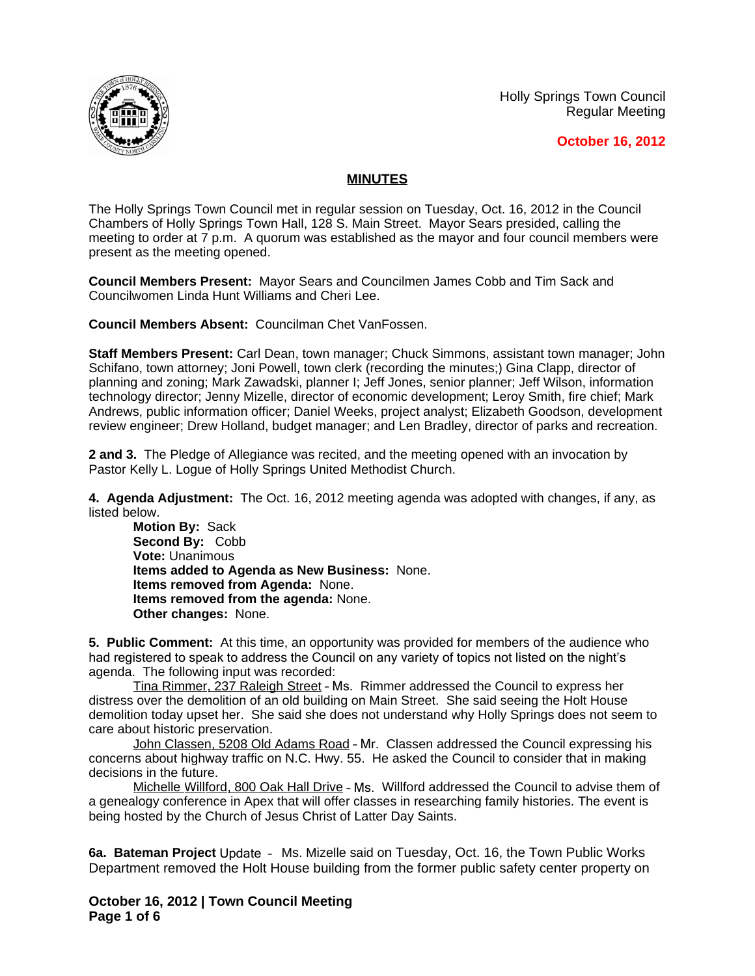Holly Springs Town Council Regular Meeting





## **MINUTES**

The Holly Springs Town Council met in regular session on Tuesday, Oct. 16, 2012 in the Council Chambers of Holly Springs Town Hall, 128 S. Main Street. Mayor Sears presided, calling the meeting to order at 7 p.m. A quorum was established as the mayor and four council members were present as the meeting opened.

**Council Members Present:** Mayor Sears and Councilmen James Cobb and Tim Sack and Councilwomen Linda Hunt Williams and Cheri Lee.

**Council Members Absent:** Councilman Chet VanFossen.

**Staff Members Present:** Carl Dean, town manager; Chuck Simmons, assistant town manager; John Schifano, town attorney; Joni Powell, town clerk (recording the minutes;) Gina Clapp, director of planning and zoning; Mark Zawadski, planner I; Jeff Jones, senior planner; Jeff Wilson, information technology director; Jenny Mizelle, director of economic development; Leroy Smith, fire chief; Mark Andrews, public information officer; Daniel Weeks, project analyst; Elizabeth Goodson, development review engineer; Drew Holland, budget manager; and Len Bradley, director of parks and recreation.

**2 and 3.** The Pledge of Allegiance was recited, and the meeting opened with an invocation by Pastor Kelly L. Logue of Holly Springs United Methodist Church.

**4. Agenda Adjustment:** The Oct. 16, 2012 meeting agenda was adopted with changes, if any, as listed below.

**Motion By:** Sack **Second By:** Cobb **Vote:** Unanimous **Items added to Agenda as New Business:** None. **Items removed from Agenda:** None. **Items removed from the agenda:** None. **Other changes:** None.

**5. Public Comment:** At this time, an opportunity was provided for members of the audience who had registered to speak to address the Council on any variety of topics not listed on the night's agenda. The following input was recorded:

Tina Rimmer, 237 Raleigh Street – Ms. Rimmer addressed the Council to express her distress over the demolition of an old building on Main Street. She said seeing the Holt House demolition today upset her. She said she does not understand why Holly Springs does not seem to care about historic preservation.

John Classen, 5208 Old Adams Road - Mr. Classen addressed the Council expressing his concerns about highway traffic on N.C. Hwy. 55. He asked the Council to consider that in making decisions in the future.

Michelle Willford, 800 Oak Hall Drive – Ms. Willford addressed the Council to advise them of a genealogy conference in Apex that will offer classes in researching family histories. The event is being hosted by the Church of Jesus Christ of Latter Day Saints.

**6a. Bateman Project** Update – Ms. Mizelle said on Tuesday, Oct. 16, the Town Public Works Department removed the Holt House building from the former public safety center property on

**October 16, 2012 | Town Council Meeting Page 1 of 6**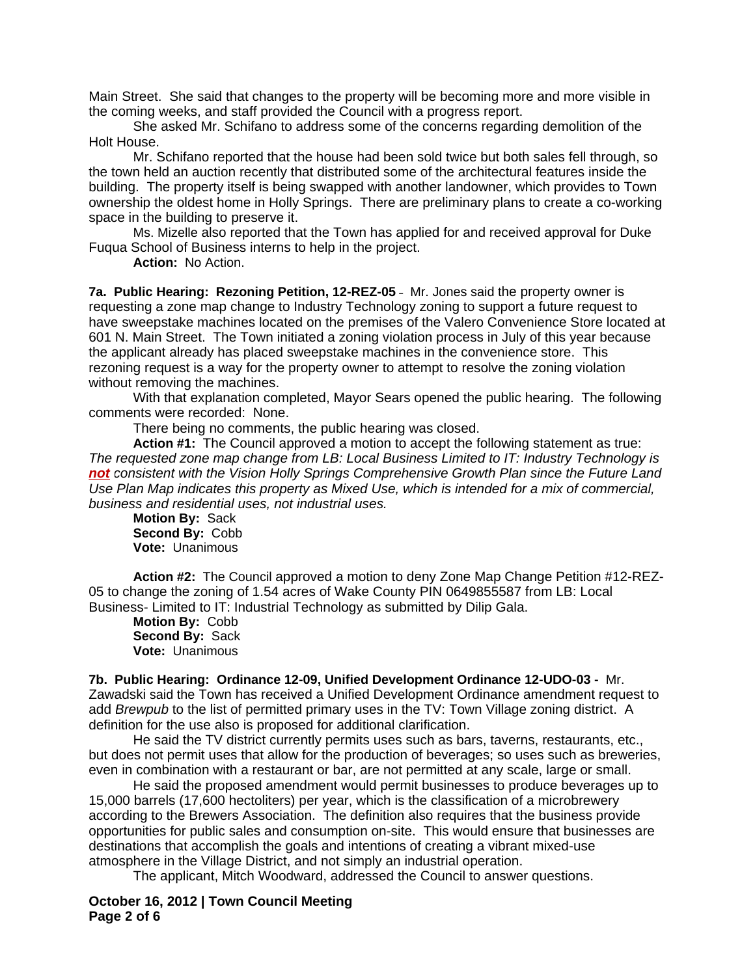Main Street. She said that changes to the property will be becoming more and more visible in the coming weeks, and staff provided the Council with a progress report.

She asked Mr. Schifano to address some of the concerns regarding demolition of the Holt House.

Mr. Schifano reported that the house had been sold twice but both sales fell through, so the town held an auction recently that distributed some of the architectural features inside the building. The property itself is being swapped with another landowner, which provides to Town ownership the oldest home in Holly Springs. There are preliminary plans to create a co-working space in the building to preserve it.

Ms. Mizelle also reported that the Town has applied for and received approval for Duke Fuqua School of Business interns to help in the project.

**Action:** No Action.

**7a. Public Hearing: Rezoning Petition, 12-REZ-05** – Mr. Jones said the property owner is requesting a zone map change to Industry Technology zoning to support a future request to have sweepstake machines located on the premises of the Valero Convenience Store located at 601 N. Main Street. The Town initiated a zoning violation process in July of this year because the applicant already has placed sweepstake machines in the convenience store. This rezoning request is a way for the property owner to attempt to resolve the zoning violation without removing the machines.

With that explanation completed, Mayor Sears opened the public hearing. The following comments were recorded: None.

There being no comments, the public hearing was closed.

**Action #1:** The Council approved a motion to accept the following statement as true: *The requested zone map change from LB: Local Business Limited to IT: Industry Technology is not consistent with the Vision Holly Springs Comprehensive Growth Plan since the Future Land Use Plan Map indicates this property as Mixed Use, which is intended for a mix of commercial, business and residential uses, not industrial uses.*

**Motion By:** Sack **Second By:** Cobb **Vote:** Unanimous

**Action #2:** The Council approved a motion to deny Zone Map Change Petition #12-REZ-05 to change the zoning of 1.54 acres of Wake County PIN 0649855587 from LB: Local Business- Limited to IT: Industrial Technology as submitted by Dilip Gala.

**Motion By:** Cobb **Second By:** Sack **Vote:** Unanimous

**7b. Public Hearing: Ordinance 12-09, Unified Development Ordinance 12-UDO-03 -** Mr. Zawadski said the Town has received a Unified Development Ordinance amendment request to add *Brewpub* to the list of permitted primary uses in the TV: Town Village zoning district. A definition for the use also is proposed for additional clarification.

He said the TV district currently permits uses such as bars, taverns, restaurants, etc., but does not permit uses that allow for the production of beverages; so uses such as breweries, even in combination with a restaurant or bar, are not permitted at any scale, large or small.

He said the proposed amendment would permit businesses to produce beverages up to 15,000 barrels (17,600 hectoliters) per year, which is the classification of a microbrewery according to the Brewers Association. The definition also requires that the business provide opportunities for public sales and consumption on-site. This would ensure that businesses are destinations that accomplish the goals and intentions of creating a vibrant mixed-use atmosphere in the Village District, and not simply an industrial operation.

The applicant, Mitch Woodward, addressed the Council to answer questions.

**October 16, 2012 | Town Council Meeting Page 2 of 6**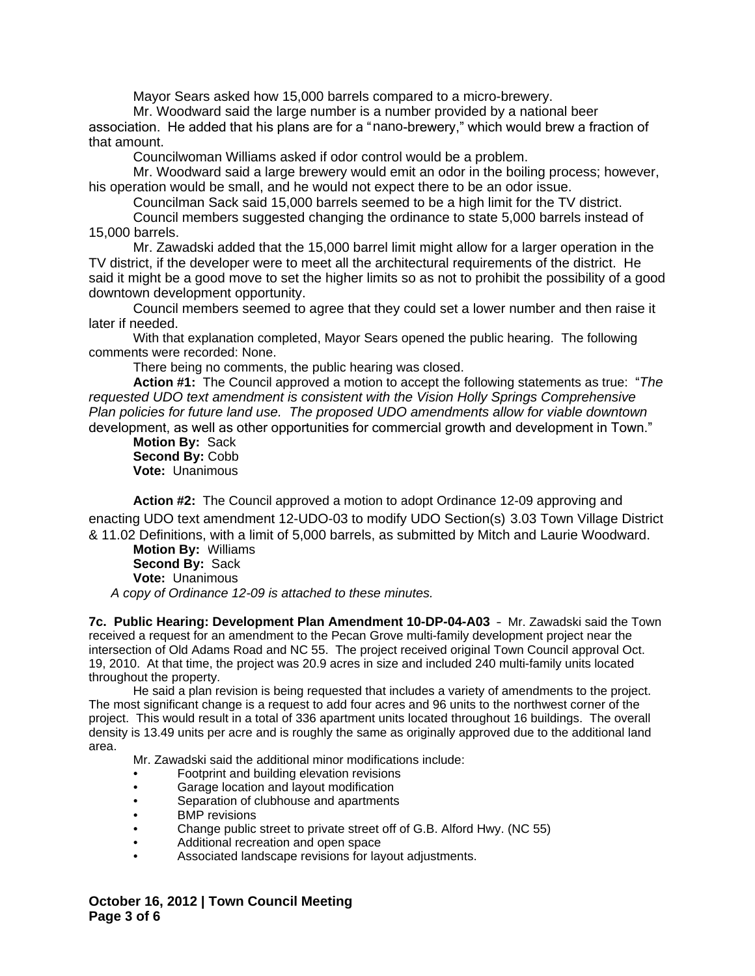Mayor Sears asked how 15,000 barrels compared to a micro-brewery.

Mr. Woodward said the large number is a number provided by a national beer association. He added that his plans are for a "nano-brewery," which would brew a fraction of that amount.

Councilwoman Williams asked if odor control would be a problem.

Mr. Woodward said a large brewery would emit an odor in the boiling process; however, his operation would be small, and he would not expect there to be an odor issue.

Councilman Sack said 15,000 barrels seemed to be a high limit for the TV district.

Council members suggested changing the ordinance to state 5,000 barrels instead of 15,000 barrels.

Mr. Zawadski added that the 15,000 barrel limit might allow for a larger operation in the TV district, if the developer were to meet all the architectural requirements of the district. He said it might be a good move to set the higher limits so as not to prohibit the possibility of a good downtown development opportunity.

Council members seemed to agree that they could set a lower number and then raise it later if needed.

With that explanation completed, Mayor Sears opened the public hearing. The following comments were recorded: None.

There being no comments, the public hearing was closed.

**Action #1:** The Council approved a motion to accept the following statements as true: "*The requested UDO text amendment is consistent with the Vision Holly Springs Comprehensive Plan policies for future land use. The proposed UDO amendments allow for viable downtown*  development, as well as other opportunities for commercial growth and development in Town."

**Motion By:** Sack **Second By:** Cobb **Vote:** Unanimous

**Action #2:** The Council approved a motion to adopt Ordinance 12-09 approving and enacting UDO text amendment 12-UDO-03 to modify UDO Section(s) 3.03 Town Village District & 11.02 Definitions, with a limit of 5,000 barrels, as submitted by Mitch and Laurie Woodward.

**Motion By:** Williams **Second By:** Sack **Vote:** Unanimous *A copy of Ordinance 12-09 is attached to these minutes.*

**7c. Public Hearing: Development Plan Amendment 10-DP-04-A03** – Mr. Zawadski said the Town received a request for an amendment to the Pecan Grove multi-family development project near the intersection of Old Adams Road and NC 55. The project received original Town Council approval Oct. 19, 2010. At that time, the project was 20.9 acres in size and included 240 multi-family units located throughout the property.

He said a plan revision is being requested that includes a variety of amendments to the project. The most significant change is a request to add four acres and 96 units to the northwest corner of the project. This would result in a total of 336 apartment units located throughout 16 buildings. The overall density is 13.49 units per acre and is roughly the same as originally approved due to the additional land area.

Mr. Zawadski said the additional minor modifications include:

- Footprint and building elevation revisions
- Garage location and layout modification
- Separation of clubhouse and apartments
- **BMP** revisions
- Change public street to private street off of G.B. Alford Hwy. (NC 55)
- Additional recreation and open space
- Associated landscape revisions for layout adjustments.

**October 16, 2012 | Town Council Meeting Page 3 of 6**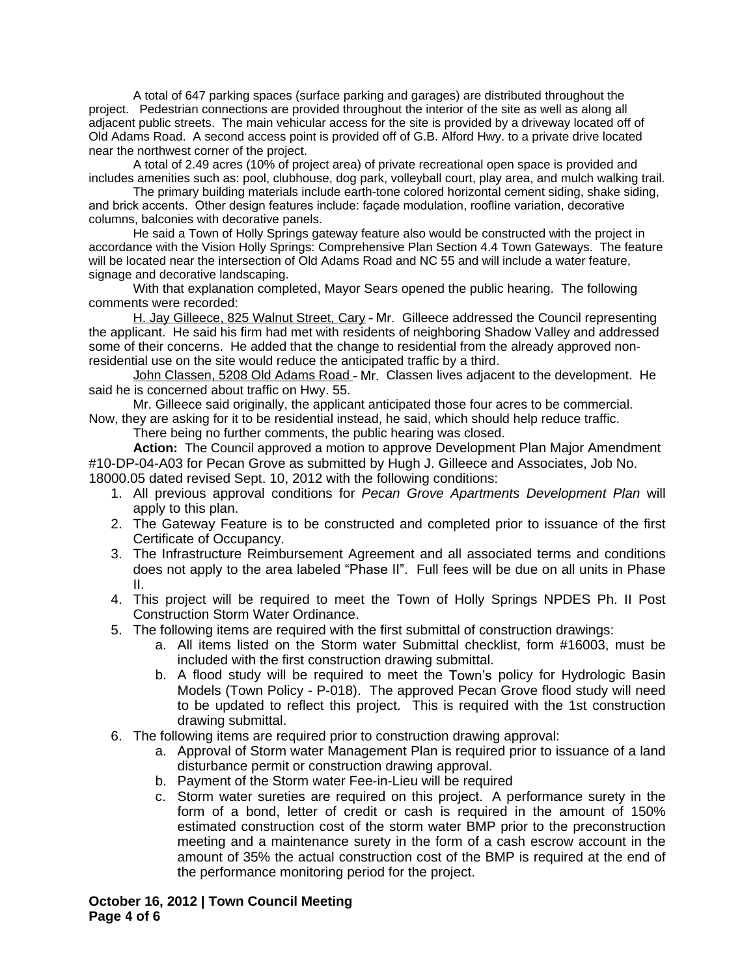A total of 647 parking spaces (surface parking and garages) are distributed throughout the project. Pedestrian connections are provided throughout the interior of the site as well as along all adjacent public streets. The main vehicular access for the site is provided by a driveway located off of Old Adams Road. A second access point is provided off of G.B. Alford Hwy. to a private drive located near the northwest corner of the project.

A total of 2.49 acres (10% of project area) of private recreational open space is provided and includes amenities such as: pool, clubhouse, dog park, volleyball court, play area, and mulch walking trail.

The primary building materials include earth-tone colored horizontal cement siding, shake siding, and brick accents. Other design features include: façade modulation, roofline variation, decorative columns, balconies with decorative panels.

He said a Town of Holly Springs gateway feature also would be constructed with the project in accordance with the Vision Holly Springs: Comprehensive Plan Section 4.4 Town Gateways. The feature will be located near the intersection of Old Adams Road and NC 55 and will include a water feature, signage and decorative landscaping.

With that explanation completed, Mayor Sears opened the public hearing. The following comments were recorded:

H. Jay Gilleece, 825 Walnut Street, Cary - Mr. Gilleece addressed the Council representing the applicant. He said his firm had met with residents of neighboring Shadow Valley and addressed some of their concerns. He added that the change to residential from the already approved nonresidential use on the site would reduce the anticipated traffic by a third.

John Classen, 5208 Old Adams Road – Mr. Classen lives adjacent to the development. He said he is concerned about traffic on Hwy. 55.

Mr. Gilleece said originally, the applicant anticipated those four acres to be commercial. Now, they are asking for it to be residential instead, he said, which should help reduce traffic.

There being no further comments, the public hearing was closed.

**Action:** The Council approved a motion to approve Development Plan Major Amendment #10-DP-04-A03 for Pecan Grove as submitted by Hugh J. Gilleece and Associates, Job No. 18000.05 dated revised Sept. 10, 2012 with the following conditions:

- 1. All previous approval conditions for *Pecan Grove Apartments Development Plan* will apply to this plan.
- 2. The Gateway Feature is to be constructed and completed prior to issuance of the first Certificate of Occupancy.
- 3. The Infrastructure Reimbursement Agreement and all associated terms and conditions does not apply to the area labeled "Phase II". Full fees will be due on all units in Phase II.
- 4. This project will be required to meet the Town of Holly Springs NPDES Ph. II Post Construction Storm Water Ordinance.
- 5. The following items are required with the first submittal of construction drawings:
	- a. All items listed on the Storm water Submittal checklist, form #16003, must be included with the first construction drawing submittal.
	- b. A flood study will be required to meet the Town's policy for Hydrologic Basin Models (Town Policy - P-018). The approved Pecan Grove flood study will need to be updated to reflect this project. This is required with the 1st construction drawing submittal.
- 6. The following items are required prior to construction drawing approval:
	- a. Approval of Storm water Management Plan is required prior to issuance of a land disturbance permit or construction drawing approval.
	- b. Payment of the Storm water Fee-in-Lieu will be required
	- c. Storm water sureties are required on this project. A performance surety in the form of a bond, letter of credit or cash is required in the amount of 150% estimated construction cost of the storm water BMP prior to the preconstruction meeting and a maintenance surety in the form of a cash escrow account in the amount of 35% the actual construction cost of the BMP is required at the end of the performance monitoring period for the project.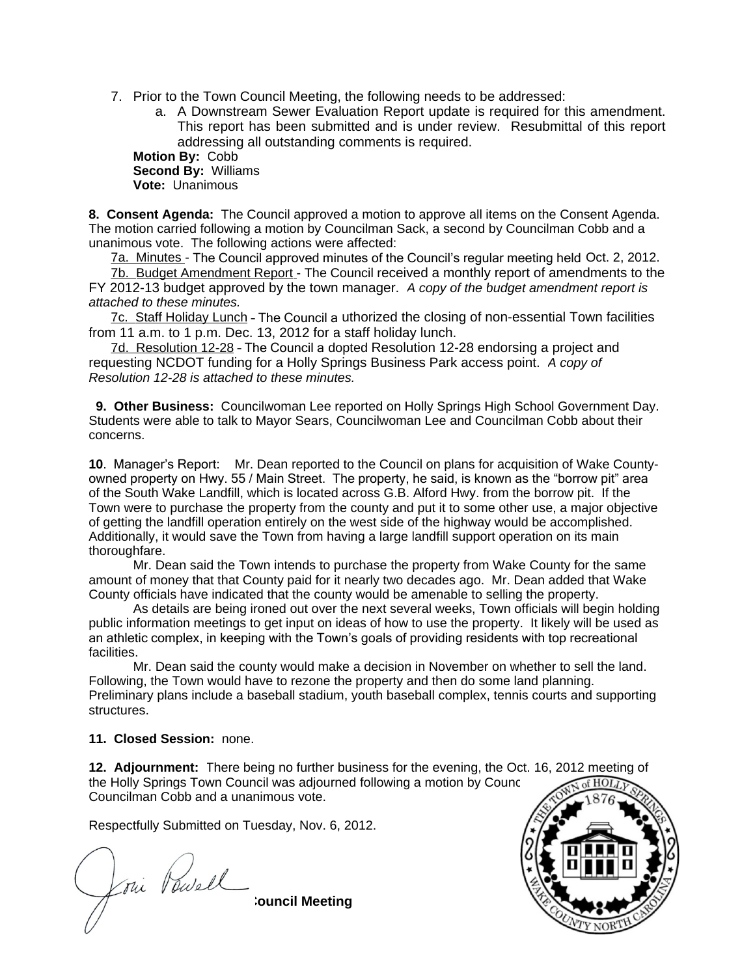7. Prior to the Town Council Meeting, the following needs to be addressed:

a. A Downstream Sewer Evaluation Report update is required for this amendment. This report has been submitted and is under review. Resubmittal of this report addressing all outstanding comments is required.

**Motion By:** Cobb **Second By:** Williams **Vote:** Unanimous

**8. Consent Agenda:** The Council approved a motion to approve all items on the Consent Agenda. The motion carried following a motion by Councilman Sack, a second by Councilman Cobb and a unanimous vote. The following actions were affected:

7a. Minutes - The Council approved minutes of the Council's regular meeting held Oct. 2, 2012.

7b. Budget Amendment Report - The Council received a monthly report of amendments to the FY 2012-13 budget approved by the town manager. *A copy of the budget amendment report is attached to these minutes.*

7c. Staff Holiday Lunch - The Council a uthorized the closing of non-essential Town facilities from 11 a.m. to 1 p.m. Dec. 13, 2012 for a staff holiday lunch.

7d. Resolution 12-28 – The Council a dopted Resolution 12-28 endorsing a project and requesting NCDOT funding for a Holly Springs Business Park access point. *A copy of Resolution 12-28 is attached to these minutes.*

 **9. Other Business:** Councilwoman Lee reported on Holly Springs High School Government Day. Students were able to talk to Mayor Sears, Councilwoman Lee and Councilman Cobb about their concerns.

**10**. Manager's Report: Mr. Dean reported to the Council on plans for acquisition of Wake Countyowned property on Hwy. 55 / Main Street. The property, he said, is known as the "borrow pit" area of the South Wake Landfill, which is located across G.B. Alford Hwy. from the borrow pit. If the Town were to purchase the property from the county and put it to some other use, a major objective of getting the landfill operation entirely on the west side of the highway would be accomplished. Additionally, it would save the Town from having a large landfill support operation on its main thoroughfare.

Mr. Dean said the Town intends to purchase the property from Wake County for the same amount of money that that County paid for it nearly two decades ago. Mr. Dean added that Wake County officials have indicated that the county would be amenable to selling the property.

As details are being ironed out over the next several weeks, Town officials will begin holding public information meetings to get input on ideas of how to use the property. It likely will be used as an athletic complex, in keeping with the Town's goals of providing residents with top recreational facilities.

Mr. Dean said the county would make a decision in November on whether to sell the land. Following, the Town would have to rezone the property and then do some land planning. Preliminary plans include a baseball stadium, youth baseball complex, tennis courts and supporting structures.

## **11. Closed Session:** none.

**12. Adjournment:** There being no further business for the evening, the Oct. 16, 2012 meeting of the Holly Springs Town Council was adjourned following a motion by Council Councilman Cobb and a unanimous vote.

Respectfully Submitted on Tuesday, Nov. 6, 2012.

**October 16, 2012 | Town Council Meeting Page 5 of 6**